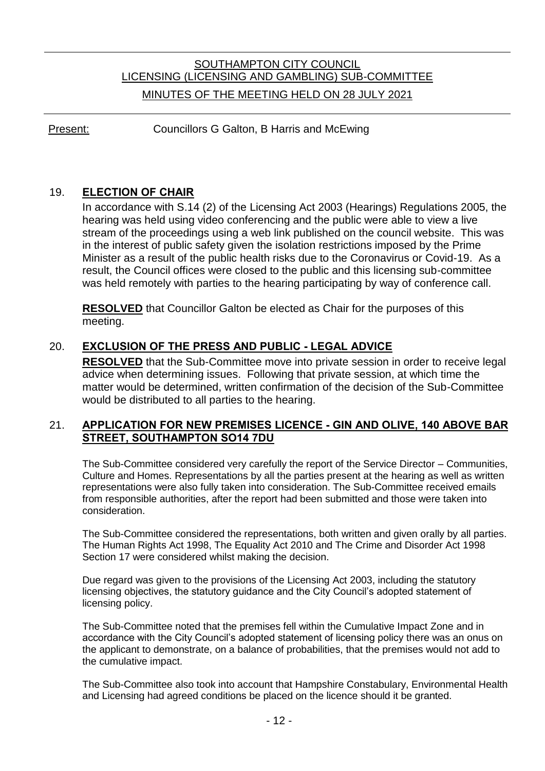# SOUTHAMPTON CITY COUNCIL LICENSING (LICENSING AND GAMBLING) SUB-COMMITTEE MINUTES OF THE MEETING HELD ON 28 JULY 2021

Present: Councillors G Galton, B Harris and McEwing

### 19. **ELECTION OF CHAIR**

In accordance with S.14 (2) of the Licensing Act 2003 (Hearings) Regulations 2005, the hearing was held using video conferencing and the public were able to view a live stream of the proceedings using a web link published on the council website. This was in the interest of public safety given the isolation restrictions imposed by the Prime Minister as a result of the public health risks due to the Coronavirus or Covid-19. As a result, the Council offices were closed to the public and this licensing sub-committee was held remotely with parties to the hearing participating by way of conference call.

**RESOLVED** that Councillor Galton be elected as Chair for the purposes of this meeting.

## 20. **EXCLUSION OF THE PRESS AND PUBLIC - LEGAL ADVICE**

**RESOLVED** that the Sub-Committee move into private session in order to receive legal advice when determining issues. Following that private session, at which time the matter would be determined, written confirmation of the decision of the Sub-Committee would be distributed to all parties to the hearing.

#### 21. **APPLICATION FOR NEW PREMISES LICENCE - GIN AND OLIVE, 140 ABOVE BAR STREET, SOUTHAMPTON SO14 7DU**

The Sub-Committee considered very carefully the report of the Service Director – Communities, Culture and Homes. Representations by all the parties present at the hearing as well as written representations were also fully taken into consideration. The Sub-Committee received emails from responsible authorities, after the report had been submitted and those were taken into consideration.

The Sub-Committee considered the representations, both written and given orally by all parties. The Human Rights Act 1998, The Equality Act 2010 and The Crime and Disorder Act 1998 Section 17 were considered whilst making the decision.

Due regard was given to the provisions of the Licensing Act 2003, including the statutory licensing objectives, the statutory guidance and the City Council's adopted statement of licensing policy.

The Sub-Committee noted that the premises fell within the Cumulative Impact Zone and in accordance with the City Council's adopted statement of licensing policy there was an onus on the applicant to demonstrate, on a balance of probabilities, that the premises would not add to the cumulative impact.

The Sub-Committee also took into account that Hampshire Constabulary, Environmental Health and Licensing had agreed conditions be placed on the licence should it be granted.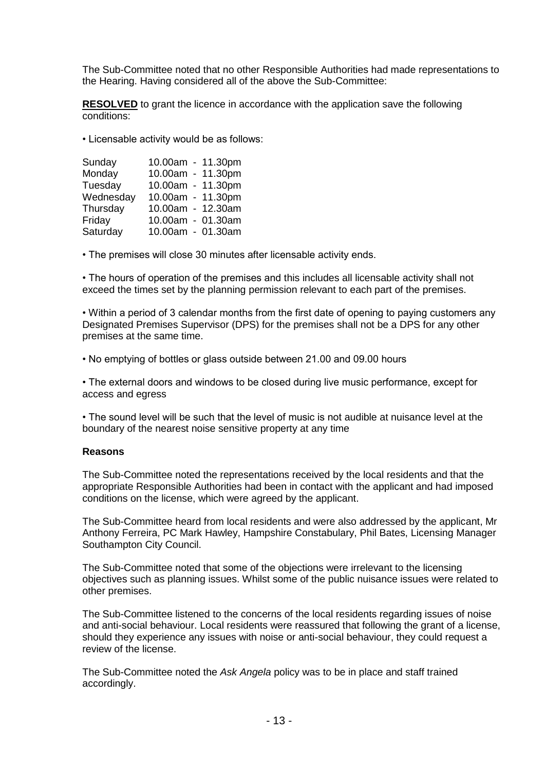The Sub-Committee noted that no other Responsible Authorities had made representations to the Hearing. Having considered all of the above the Sub-Committee:

**RESOLVED** to grant the licence in accordance with the application save the following conditions:

• Licensable activity would be as follows:

| Sunday    | 10.00am - 11.30pm |  |
|-----------|-------------------|--|
| Monday    | 10.00am - 11.30pm |  |
| Tuesday   | 10.00am - 11.30pm |  |
| Wednesday | 10.00am - 11.30pm |  |
| Thursday  | 10.00am - 12.30am |  |
| Friday    | 10.00am - 01.30am |  |
| Saturday  | 10.00am - 01.30am |  |

• The premises will close 30 minutes after licensable activity ends.

• The hours of operation of the premises and this includes all licensable activity shall not exceed the times set by the planning permission relevant to each part of the premises.

• Within a period of 3 calendar months from the first date of opening to paying customers any Designated Premises Supervisor (DPS) for the premises shall not be a DPS for any other premises at the same time.

• No emptying of bottles or glass outside between 21.00 and 09.00 hours

• The external doors and windows to be closed during live music performance, except for access and egress

• The sound level will be such that the level of music is not audible at nuisance level at the boundary of the nearest noise sensitive property at any time

#### **Reasons**

The Sub-Committee noted the representations received by the local residents and that the appropriate Responsible Authorities had been in contact with the applicant and had imposed conditions on the license, which were agreed by the applicant.

The Sub-Committee heard from local residents and were also addressed by the applicant, Mr Anthony Ferreira, PC Mark Hawley, Hampshire Constabulary, Phil Bates, Licensing Manager Southampton City Council.

The Sub-Committee noted that some of the objections were irrelevant to the licensing objectives such as planning issues. Whilst some of the public nuisance issues were related to other premises.

The Sub-Committee listened to the concerns of the local residents regarding issues of noise and anti-social behaviour. Local residents were reassured that following the grant of a license, should they experience any issues with noise or anti-social behaviour, they could request a review of the license.

The Sub-Committee noted the *Ask Angela* policy was to be in place and staff trained accordingly.